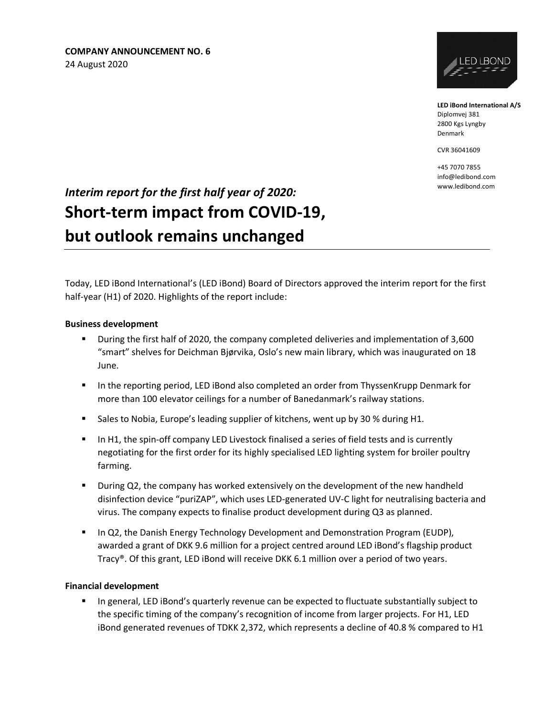

**LED iBond International A/S** Diplomvej 381 2800 Kgs Lyngby Denmark

CVR 36041609

+45 7070 7855 info@ledibond.com

# **Interim report for the first half year of 2020:** *Interim report for the first half year of 2020:* **Short-term impact from COVID-19, but outlook remains unchanged**

Today, LED iBond International's (LED iBond) Board of Directors approved the interim report for the first half-year (H1) of 2020. Highlights of the report include:

#### **Business development**

- During the first half of 2020, the company completed deliveries and implementation of 3,600 "smart" shelves for Deichman Bjørvika, Oslo's new main library, which was inaugurated on 18 June.
- In the reporting period, LED iBond also completed an order from ThyssenKrupp Denmark for more than 100 elevator ceilings for a number of Banedanmark's railway stations.
- **Examber 1** Sales to Nobia, Europe's leading supplier of kitchens, went up by 30 % during H1.
- **•** In H1, the spin-off company LED Livestock finalised a series of field tests and is currently negotiating for the first order for its highly specialised LED lighting system for broiler poultry farming.
- **■** During Q2, the company has worked extensively on the development of the new handheld disinfection device "puriZAP", which uses LED-generated UV-C light for neutralising bacteria and virus. The company expects to finalise product development during Q3 as planned.
- **■** In Q2, the Danish Energy Technology Development and Demonstration Program (EUDP), awarded a grant of DKK 9.6 million for a project centred around LED iBond's flagship product Tracy®. Of this grant, LED iBond will receive DKK 6.1 million over a period of two years.

#### **Financial development**

▪ In general, LED iBond's quarterly revenue can be expected to fluctuate substantially subject to the specific timing of the company's recognition of income from larger projects. For H1, LED iBond generated revenues of TDKK 2,372, which represents a decline of 40.8 % compared to H1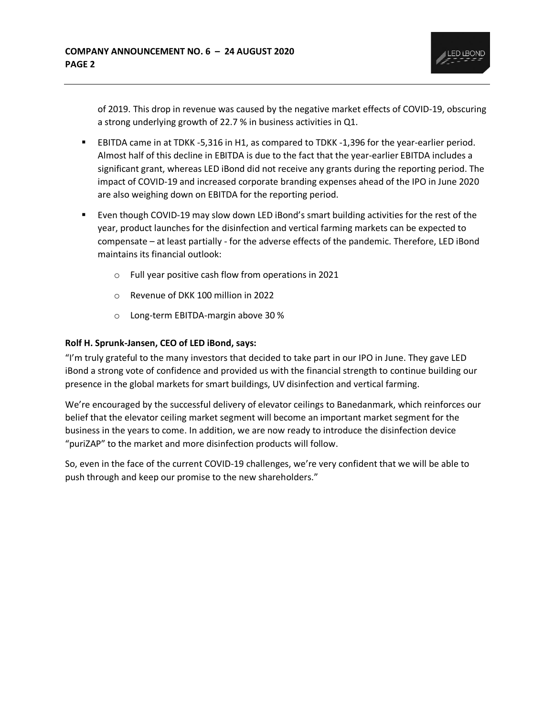

of 2019. This drop in revenue was caused by the negative market effects of COVID-19, obscuring a strong underlying growth of 22.7 % in business activities in Q1.

- EBITDA came in at TDKK -5,316 in H1, as compared to TDKK -1,396 for the year-earlier period. Almost half of this decline in EBITDA is due to the fact that the year-earlier EBITDA includes a significant grant, whereas LED iBond did not receive any grants during the reporting period. The impact of COVID-19 and increased corporate branding expenses ahead of the IPO in June 2020 are also weighing down on EBITDA for the reporting period.
- Even though COVID-19 may slow down LED iBond's smart building activities for the rest of the year, product launches for the disinfection and vertical farming markets can be expected to compensate – at least partially - for the adverse effects of the pandemic. Therefore, LED iBond maintains its financial outlook:
	- o Full year positive cash flow from operations in 2021
	- o Revenue of DKK 100 million in 2022
	- o Long-term EBITDA-margin above 30 %

#### **Rolf H. Sprunk-Jansen, CEO of LED iBond, says:**

"I'm truly grateful to the many investors that decided to take part in our IPO in June. They gave LED iBond a strong vote of confidence and provided us with the financial strength to continue building our presence in the global markets for smart buildings, UV disinfection and vertical farming.

We're encouraged by the successful delivery of elevator ceilings to Banedanmark, which reinforces our belief that the elevator ceiling market segment will become an important market segment for the business in the years to come. In addition, we are now ready to introduce the disinfection device "puriZAP" to the market and more disinfection products will follow.

So, even in the face of the current COVID-19 challenges, we're very confident that we will be able to push through and keep our promise to the new shareholders."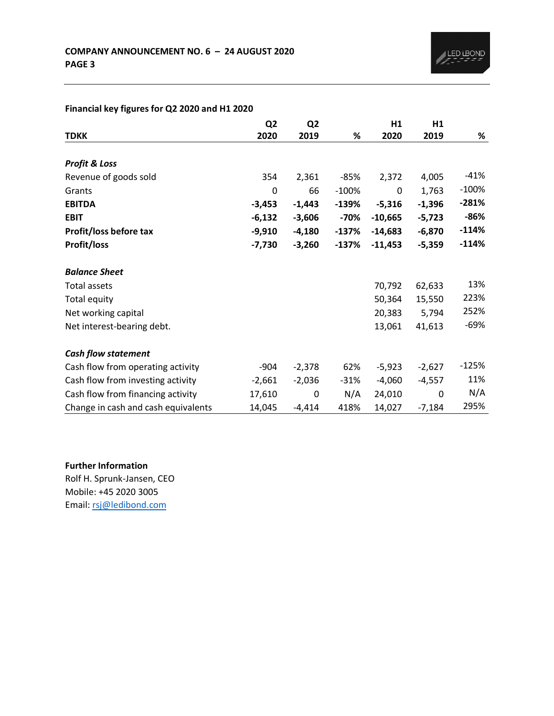|                                     | Q <sub>2</sub> | Q <sub>2</sub> |         | H1        | H1       |         |
|-------------------------------------|----------------|----------------|---------|-----------|----------|---------|
| <b>TDKK</b>                         | 2020           | 2019           | %       | 2020      | 2019     | %       |
|                                     |                |                |         |           |          |         |
| <b>Profit &amp; Loss</b>            |                |                |         |           |          |         |
| Revenue of goods sold               | 354            | 2,361          | $-85%$  | 2,372     | 4,005    | $-41%$  |
| Grants                              | 0              | 66             | $-100%$ | 0         | 1,763    | $-100%$ |
| <b>EBITDA</b>                       | $-3,453$       | $-1,443$       | $-139%$ | $-5,316$  | $-1,396$ | $-281%$ |
| <b>EBIT</b>                         | $-6,132$       | $-3,606$       | $-70%$  | $-10,665$ | $-5,723$ | $-86%$  |
| Profit/loss before tax              | $-9,910$       | $-4,180$       | $-137%$ | $-14,683$ | $-6,870$ | $-114%$ |
| <b>Profit/loss</b>                  | $-7,730$       | $-3,260$       | $-137%$ | $-11,453$ | $-5,359$ | $-114%$ |
| <b>Balance Sheet</b>                |                |                |         |           |          |         |
| <b>Total assets</b>                 |                |                |         | 70,792    | 62,633   | 13%     |
| Total equity                        |                |                |         | 50,364    | 15,550   | 223%    |
| Net working capital                 |                |                |         | 20,383    | 5,794    | 252%    |
| Net interest-bearing debt.          |                |                |         | 13,061    | 41,613   | $-69%$  |
| <b>Cash flow statement</b>          |                |                |         |           |          |         |
| Cash flow from operating activity   | $-904$         | $-2,378$       | 62%     | $-5,923$  | $-2,627$ | $-125%$ |
| Cash flow from investing activity   | $-2,661$       | $-2,036$       | $-31%$  | $-4,060$  | $-4,557$ | 11%     |
| Cash flow from financing activity   | 17,610         | 0              | N/A     | 24,010    | 0        | N/A     |
| Change in cash and cash equivalents | 14,045         | $-4,414$       | 418%    | 14,027    | $-7,184$ | 295%    |

## **Financial key figures for Q2 2020 and H1 2020**

**Further Information**  Rolf H. Sprunk-Jansen, CEO

Mobile: +45 2020 3005 Email: [rsj@ledibond.com](mailto:rsj@ledibond.com)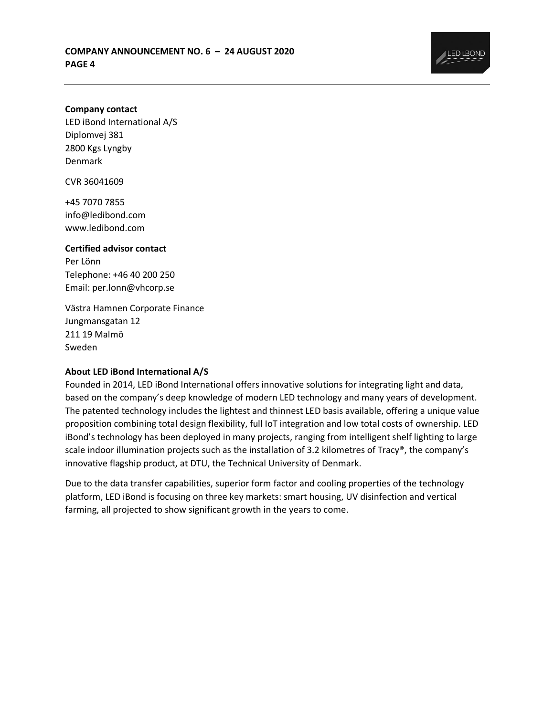

#### **Company contact**

LED iBond International A/S Diplomvej 381 2800 Kgs Lyngby Denmark

CVR 36041609

+45 7070 7855 info@ledibond.com www.ledibond.com

#### **Certified advisor contact**

Per Lönn Telephone: +46 40 200 250 Email: per.lonn@vhcorp.se

Västra Hamnen Corporate Finance Jungmansgatan 12 211 19 Malmö Sweden

#### **About LED iBond International A/S**

Founded in 2014, LED iBond International offers innovative solutions for integrating light and data, based on the company's deep knowledge of modern LED technology and many years of development. The patented technology includes the lightest and thinnest LED basis available, offering a unique value proposition combining total design flexibility, full IoT integration and low total costs of ownership. LED iBond's technology has been deployed in many projects, ranging from intelligent shelf lighting to large scale indoor illumination projects such as the installation of 3.2 kilometres of Tracy®, the company's innovative flagship product, at DTU, the Technical University of Denmark.

Due to the data transfer capabilities, superior form factor and cooling properties of the technology platform, LED iBond is focusing on three key markets: smart housing, UV disinfection and vertical farming, all projected to show significant growth in the years to come.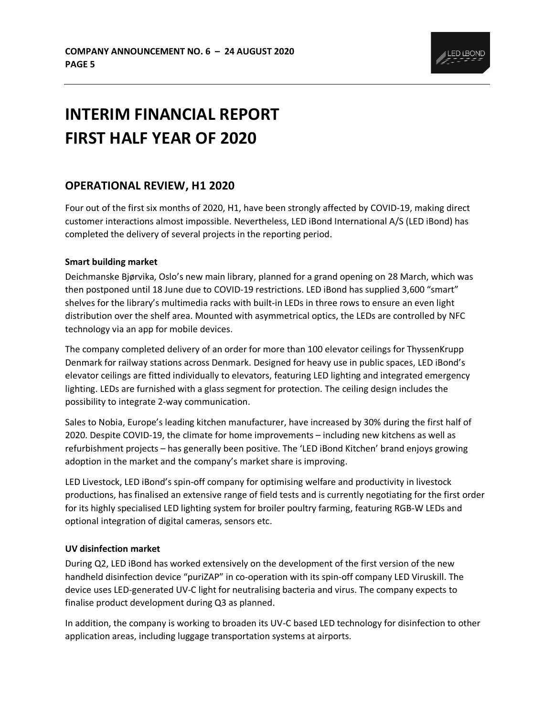

# **INTERIM FINANCIAL REPORT FIRST HALF YEAR OF 2020**

## **OPERATIONAL REVIEW, H1 2020**

Four out of the first six months of 2020, H1, have been strongly affected by COVID-19, making direct customer interactions almost impossible. Nevertheless, LED iBond International A/S (LED iBond) has completed the delivery of several projects in the reporting period.

#### **Smart building market**

Deichmanske Bjørvika, Oslo's new main library, planned for a grand opening on 28 March, which was then postponed until 18 June due to COVID-19 restrictions. LED iBond has supplied 3,600 "smart" shelves for the library's multimedia racks with built-in LEDs in three rows to ensure an even light distribution over the shelf area. Mounted with asymmetrical optics, the LEDs are controlled by NFC technology via an app for mobile devices.

The company completed delivery of an order for more than 100 elevator ceilings for ThyssenKrupp Denmark for railway stations across Denmark. Designed for heavy use in public spaces, LED iBond's elevator ceilings are fitted individually to elevators, featuring LED lighting and integrated emergency lighting. LEDs are furnished with a glass segment for protection. The ceiling design includes the possibility to integrate 2-way communication.

Sales to Nobia, Europe's leading kitchen manufacturer, have increased by 30% during the first half of 2020. Despite COVID-19, the climate for home improvements – including new kitchens as well as refurbishment projects – has generally been positive. The 'LED iBond Kitchen' brand enjoys growing adoption in the market and the company's market share is improving.

LED Livestock, LED iBond's spin-off company for optimising welfare and productivity in livestock productions, has finalised an extensive range of field tests and is currently negotiating for the first order for its highly specialised LED lighting system for broiler poultry farming, featuring RGB-W LEDs and optional integration of digital cameras, sensors etc.

### **UV disinfection market**

During Q2, LED iBond has worked extensively on the development of the first version of the new handheld disinfection device "puriZAP" in co-operation with its spin-off company LED Viruskill. The device uses LED-generated UV-C light for neutralising bacteria and virus. The company expects to finalise product development during Q3 as planned.

In addition, the company is working to broaden its UV-C based LED technology for disinfection to other application areas, including luggage transportation systems at airports.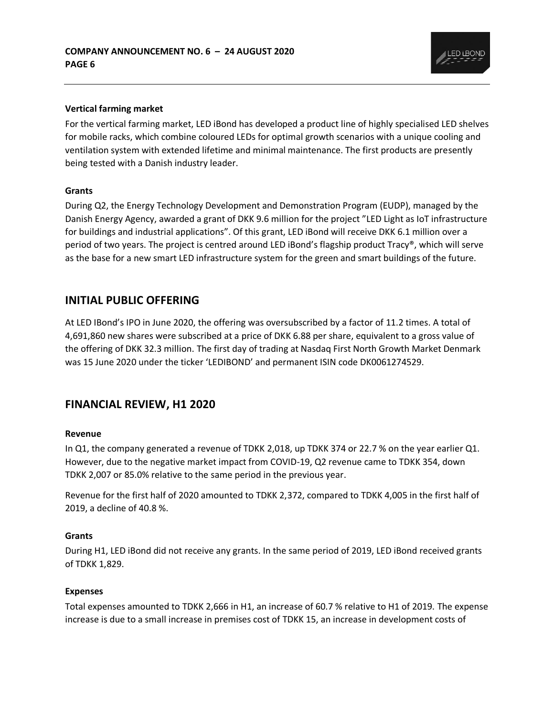

#### **Vertical farming market**

For the vertical farming market, LED iBond has developed a product line of highly specialised LED shelves for mobile racks, which combine coloured LEDs for optimal growth scenarios with a unique cooling and ventilation system with extended lifetime and minimal maintenance. The first products are presently being tested with a Danish industry leader.

#### **Grants**

During Q2, the Energy Technology Development and Demonstration Program (EUDP), managed by the Danish Energy Agency, awarded a grant of DKK 9.6 million for the project "LED Light as IoT infrastructure for buildings and industrial applications". Of this grant, LED iBond will receive DKK 6.1 million over a period of two years. The project is centred around LED iBond's flagship product Tracy®, which will serve as the base for a new smart LED infrastructure system for the green and smart buildings of the future.

## **INITIAL PUBLIC OFFERING**

At LED IBond's IPO in June 2020, the offering was oversubscribed by a factor of 11.2 times. A total of 4,691,860 new shares were subscribed at a price of DKK 6.88 per share, equivalent to a gross value of the offering of DKK 32.3 million. The first day of trading at Nasdaq First North Growth Market Denmark was 15 June 2020 under the ticker 'LEDIBOND' and permanent ISIN code DK0061274529.

## **FINANCIAL REVIEW, H1 2020**

#### **Revenue**

In Q1, the company generated a revenue of TDKK 2,018, up TDKK 374 or 22.7 % on the year earlier Q1. However, due to the negative market impact from COVID-19, Q2 revenue came to TDKK 354, down TDKK 2,007 or 85.0% relative to the same period in the previous year.

Revenue for the first half of 2020 amounted to TDKK 2,372, compared to TDKK 4,005 in the first half of 2019, a decline of 40.8 %.

#### **Grants**

During H1, LED iBond did not receive any grants. In the same period of 2019, LED iBond received grants of TDKK 1,829.

#### **Expenses**

Total expenses amounted to TDKK 2,666 in H1, an increase of 60.7 % relative to H1 of 2019. The expense increase is due to a small increase in premises cost of TDKK 15, an increase in development costs of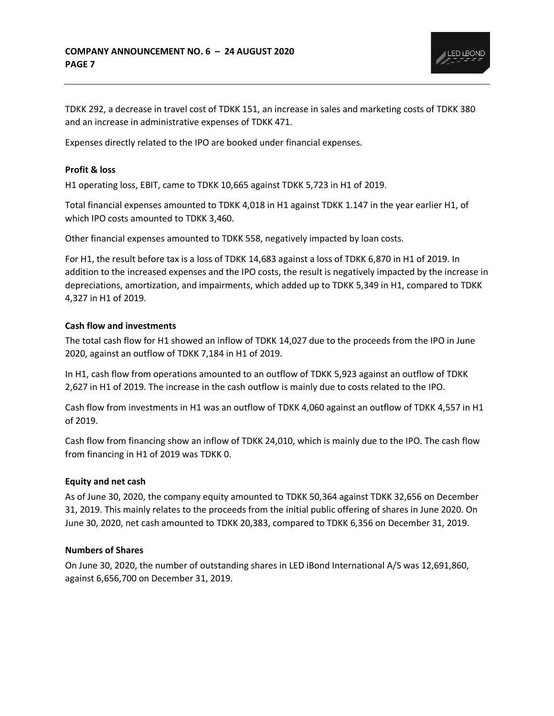

TDKK 292, a decrease in travel cost of TDKK 151, an increase in sales and marketing costs of TDKK 380 and an increase in administrative expenses of TDKK 471.

Expenses directly related to the IPO are booked under financial expenses.

#### **Profit & loss**

H1 operating loss, EBIT, came to TDKK 10,665 against TDKK 5,723 in H1 of 2019.

Total financial expenses amounted to TDKK 4,018 in H1 against TDKK 1.147 in the year earlier H1, of which IPO costs amounted to TDKK 3,460.

Other financial expenses amounted to TDKK 558, negatively impacted by loan costs.

For H1, the result before tax is a loss of TDKK 14,683 against a loss of TDKK 6,870 in H1 of 2019. In addition to the increased expenses and the IPO costs, the result is negatively impacted by the increase in depreciations, amortization, and impairments, which added up to TDKK 5,349 in H1, compared to TDKK 4,327 in H1 of 2019.

#### **Cash flow and investments**

The total cash flow for H1 showed an inflow of TDKK 14,027 due to the proceeds from the IPO in June 2020, against an outflow of TDKK 7,184 in H1 of 2019.

In H1, cash flow from operations amounted to an outflow of TDKK 5,923 against an outflow of TDKK 2,627 in H1 of 2019. The increase in the cash outflow is mainly due to costs related to the IPO.

Cash flow from investments in H1 was an outflow of TDKK 4,060 against an outflow of TDKK 4,557 in H1 of 2019.

Cash flow from financing show an inflow of TDKK 24,010, which is mainly due to the IPO. The cash flow from financing in H1 of 2019 was TDKK 0.

#### **Equity and net cash**

As of June 30, 2020, the company equity amounted to TDKK 50,364 against TDKK 32,656 on December 31, 2019. This mainly relates to the proceeds from the initial public offering of shares in June 2020. On June 30, 2020, net cash amounted to TDKK 20,383, compared to TDKK 6,356 on December 31, 2019.

#### **Numbers of Shares**

On June 30, 2020, the number of outstanding shares in LED iBond International A/S was 12,691,860, against 6,656,700 on December 31, 2019.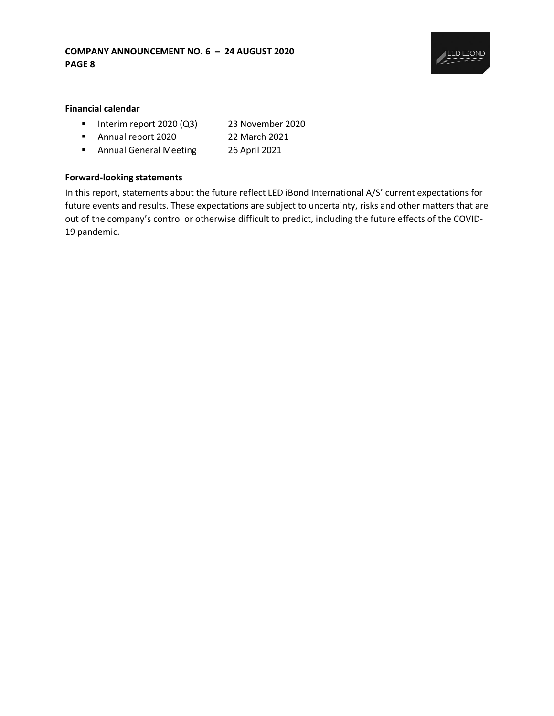

### **Financial calendar**

- Interim report 2020 (Q3) 23 November 2020
- Annual report 2020 22 March 2021
	-
- Annual General Meeting 26 April 2021

#### **Forward-looking statements**

In this report, statements about the future reflect LED iBond International A/S' current expectations for future events and results. These expectations are subject to uncertainty, risks and other matters that are out of the company's control or otherwise difficult to predict, including the future effects of the COVID-19 pandemic.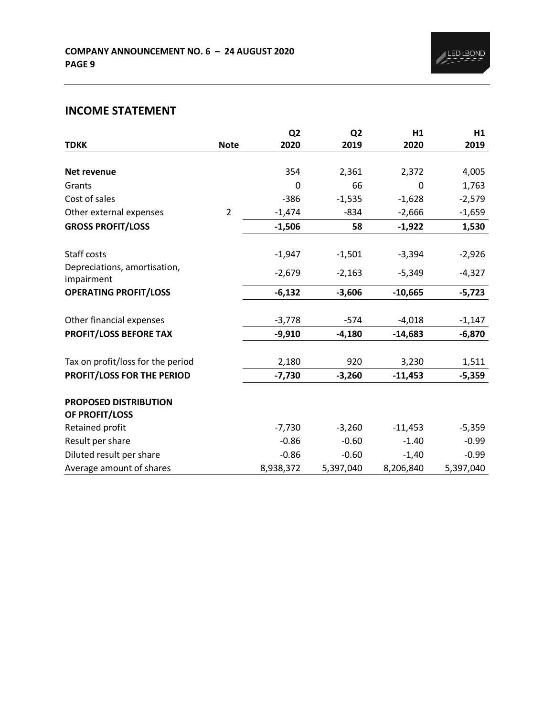# **INCOME STATEMENT**

|                                            |                | Q <sub>2</sub> | Q <sub>2</sub> | H1        | H1        |
|--------------------------------------------|----------------|----------------|----------------|-----------|-----------|
| <b>TDKK</b>                                | <b>Note</b>    | 2020           | 2019           | 2020      | 2019      |
|                                            |                |                |                |           |           |
| Net revenue                                |                | 354            | 2,361          | 2,372     | 4,005     |
| Grants                                     |                | 0              | 66             | 0         | 1,763     |
| Cost of sales                              |                | $-386$         | $-1,535$       | $-1,628$  | $-2,579$  |
| Other external expenses                    | $\overline{2}$ | $-1,474$       | $-834$         | $-2,666$  | $-1,659$  |
| <b>GROSS PROFIT/LOSS</b>                   |                | $-1,506$       | 58             | $-1,922$  | 1,530     |
| Staff costs                                |                | $-1,947$       | $-1,501$       | $-3,394$  | $-2,926$  |
| Depreciations, amortisation,<br>impairment |                | $-2,679$       | $-2,163$       | $-5,349$  | $-4,327$  |
| <b>OPERATING PROFIT/LOSS</b>               |                | $-6,132$       | $-3,606$       | $-10,665$ | $-5,723$  |
| Other financial expenses                   |                | $-3,778$       | $-574$         | $-4,018$  | $-1,147$  |
| <b>PROFIT/LOSS BEFORE TAX</b>              |                | $-9,910$       | $-4,180$       | $-14,683$ | $-6,870$  |
| Tax on profit/loss for the period          |                | 2,180          | 920            | 3,230     | 1,511     |
| PROFIT/LOSS FOR THE PERIOD                 |                | $-7,730$       | $-3,260$       | $-11,453$ | $-5,359$  |
| PROPOSED DISTRIBUTION<br>OF PROFIT/LOSS    |                |                |                |           |           |
| Retained profit                            |                | $-7,730$       | $-3,260$       | $-11,453$ | $-5,359$  |
| Result per share                           |                | $-0.86$        | $-0.60$        | $-1.40$   | $-0.99$   |
| Diluted result per share                   |                | $-0.86$        | $-0.60$        | $-1,40$   | $-0.99$   |
| Average amount of shares                   |                | 8,938,372      | 5,397,040      | 8,206,840 | 5,397,040 |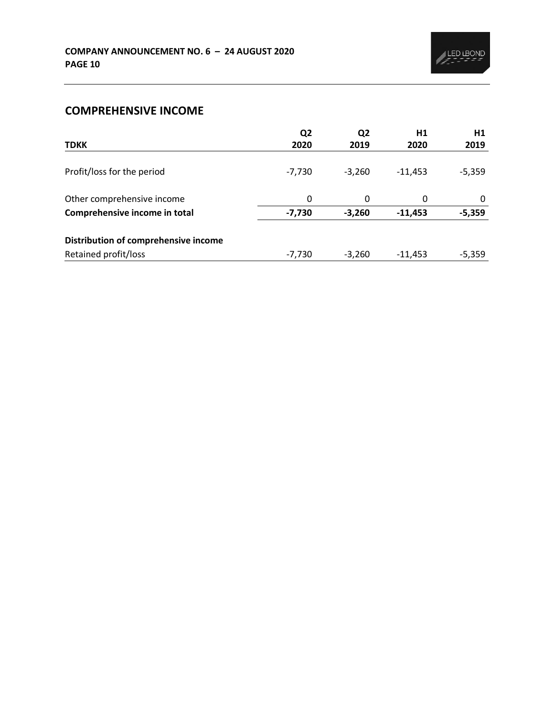# **COMPREHENSIVE INCOME**

|                                      | Q <sub>2</sub> | Q <sub>2</sub> | H1        | H1       |
|--------------------------------------|----------------|----------------|-----------|----------|
| <b>TDKK</b>                          | 2020           | 2019           | 2020      | 2019     |
|                                      |                |                |           |          |
| Profit/loss for the period           | $-7,730$       | $-3.260$       | $-11.453$ | $-5,359$ |
|                                      |                |                |           |          |
| Other comprehensive income           | 0              | $\Omega$       | 0         | 0        |
| Comprehensive income in total        | $-7,730$       | $-3,260$       | $-11,453$ | $-5,359$ |
| Distribution of comprehensive income |                |                |           |          |
|                                      |                |                |           |          |
| Retained profit/loss                 | $-7,730$       | $-3,260$       | $-11.453$ | $-5,359$ |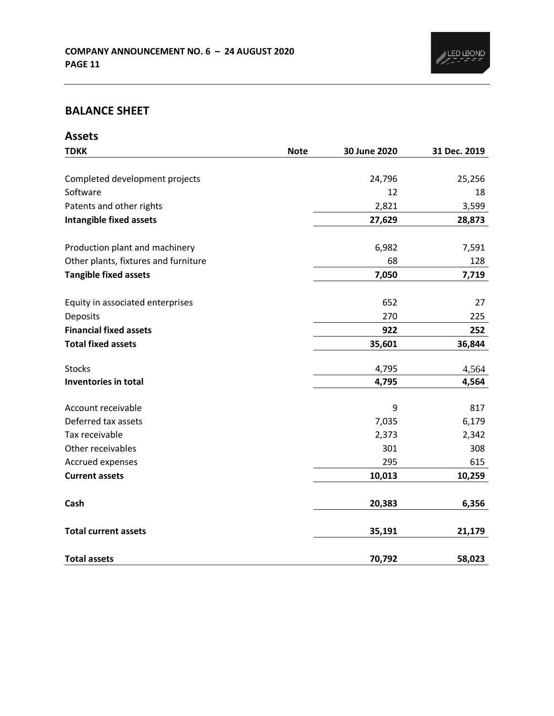

## **BALANCE SHEET**

| <b>Assets</b>                        |             |              |              |
|--------------------------------------|-------------|--------------|--------------|
| <b>TDKK</b>                          | <b>Note</b> | 30 June 2020 | 31 Dec. 2019 |
|                                      |             |              |              |
| Completed development projects       |             | 24,796       | 25,256       |
| Software                             |             | 12           | 18           |
| Patents and other rights             |             | 2,821        | 3,599        |
| <b>Intangible fixed assets</b>       |             | 27,629       | 28,873       |
| Production plant and machinery       |             | 6,982        | 7,591        |
| Other plants, fixtures and furniture |             | 68           | 128          |
| <b>Tangible fixed assets</b>         |             | 7,050        | 7,719        |
| Equity in associated enterprises     |             | 652          | 27           |
| Deposits                             |             | 270          | 225          |
| <b>Financial fixed assets</b>        |             | 922          | 252          |
| <b>Total fixed assets</b>            |             | 35,601       | 36,844       |
| <b>Stocks</b>                        |             | 4,795        | 4,564        |
| Inventories in total                 |             | 4,795        | 4,564        |
|                                      |             |              |              |
| Account receivable                   |             | 9            | 817          |
| Deferred tax assets                  |             | 7,035        | 6,179        |
| Tax receivable                       |             | 2,373        | 2,342        |
| Other receivables                    |             | 301          | 308          |
| Accrued expenses                     |             | 295          | 615          |
| <b>Current assets</b>                |             | 10,013       | 10,259       |
| Cash                                 |             | 20,383       | 6,356        |
| <b>Total current assets</b>          |             | 35,191       | 21,179       |
| <b>Total assets</b>                  |             | 70,792       | 58,023       |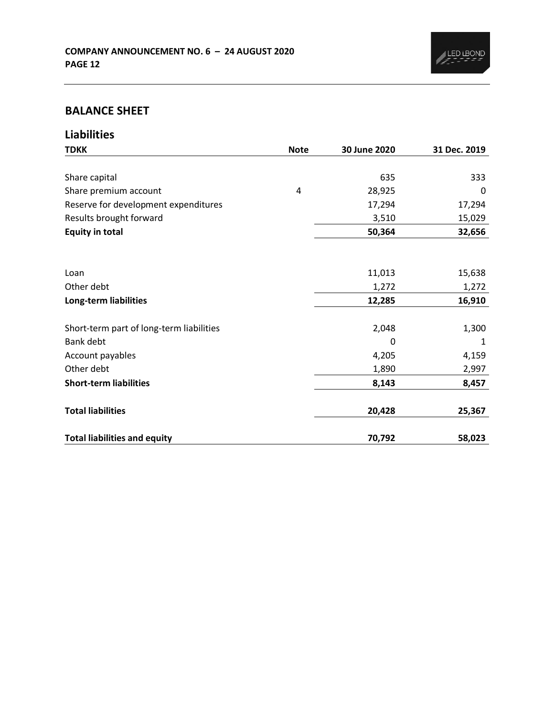

## **BALANCE SHEET**

**Liabilities**

| <b>TDKK</b>                              | <b>Note</b> | 30 June 2020 | 31 Dec. 2019 |
|------------------------------------------|-------------|--------------|--------------|
|                                          |             |              |              |
| Share capital                            |             | 635          | 333          |
| Share premium account                    | 4           | 28,925       | 0            |
| Reserve for development expenditures     |             | 17,294       | 17,294       |
| Results brought forward                  |             | 3,510        | 15,029       |
| <b>Equity in total</b>                   |             | 50,364       | 32,656       |
|                                          |             |              |              |
| Loan                                     |             | 11,013       | 15,638       |
| Other debt                               |             | 1,272        | 1,272        |
| Long-term liabilities                    |             | 12,285       | 16,910       |
|                                          |             |              |              |
| Short-term part of long-term liabilities |             | 2,048        | 1,300        |
| Bank debt                                |             | $\Omega$     | 1            |
| Account payables                         |             | 4,205        | 4,159        |
| Other debt                               |             | 1,890        | 2,997        |
| <b>Short-term liabilities</b>            |             | 8,143        | 8,457        |
| <b>Total liabilities</b>                 |             | 20,428       | 25,367       |
| <b>Total liabilities and equity</b>      |             | 70,792       | 58,023       |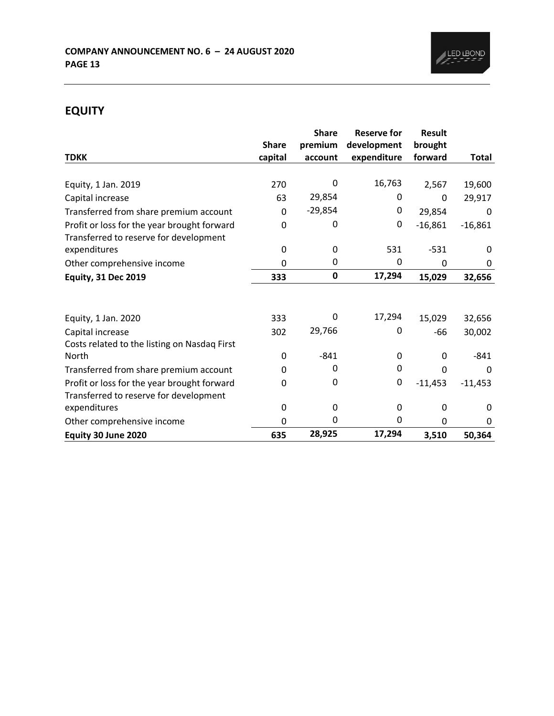

# **EQUITY**

|                                              |              | <b>Share</b> | <b>Reserve for</b> | <b>Result</b> |              |
|----------------------------------------------|--------------|--------------|--------------------|---------------|--------------|
|                                              | <b>Share</b> | premium      | development        | brought       |              |
| <b>TDKK</b>                                  | capital      | account      | expenditure        | forward       | Total        |
|                                              |              |              |                    |               |              |
| Equity, 1 Jan. 2019                          | 270          | 0            | 16,763             | 2,567         | 19,600       |
| Capital increase                             | 63           | 29,854       | 0                  | 0             | 29,917       |
| Transferred from share premium account       | 0            | $-29,854$    | 0                  | 29,854        | 0            |
| Profit or loss for the year brought forward  | 0            | 0            | 0                  | $-16,861$     | $-16,861$    |
| Transferred to reserve for development       |              |              |                    |               |              |
| expenditures                                 | 0            | $\Omega$     | 531                | $-531$        | <sup>0</sup> |
| Other comprehensive income                   | 0            | 0            | 0                  | 0             | 0            |
| <b>Equity, 31 Dec 2019</b>                   | 333          | $\pmb{0}$    | 17,294             | 15,029        | 32,656       |
|                                              |              |              |                    |               |              |
| Equity, 1 Jan. 2020                          | 333          | 0            | 17,294             | 15,029        | 32,656       |
| Capital increase                             | 302          | 29,766       | 0                  | -66           | 30,002       |
| Costs related to the listing on Nasdaq First |              |              |                    |               |              |
| <b>North</b>                                 | 0            | $-841$       | 0                  | 0             | $-841$       |
| Transferred from share premium account       | 0            | 0            | 0                  | 0             | 0            |
| Profit or loss for the year brought forward  | 0            | 0            | 0                  | $-11,453$     | $-11,453$    |
| Transferred to reserve for development       |              |              |                    |               |              |
| expenditures                                 | 0            | 0            | 0                  | 0             | 0            |
| Other comprehensive income                   | 0            | 0            | 0                  | 0             | 0            |
| Equity 30 June 2020                          | 635          | 28,925       | 17,294             | 3,510         | 50,364       |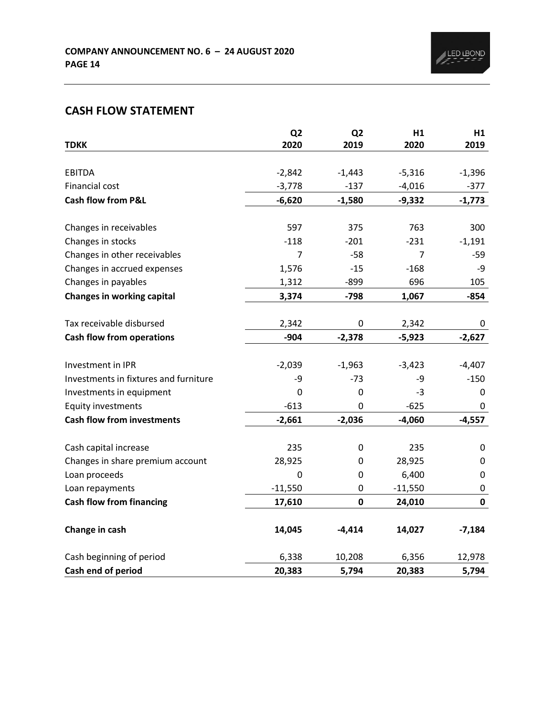# **CASH FLOW STATEMENT**

|                                       | Q <sub>2</sub> | Q <sub>2</sub> | H1        | H1          |
|---------------------------------------|----------------|----------------|-----------|-------------|
| <b>TDKK</b>                           | 2020           | 2019           | 2020      | 2019        |
|                                       |                |                |           |             |
| <b>EBITDA</b>                         | $-2,842$       | $-1,443$       | $-5,316$  | $-1,396$    |
| Financial cost                        | $-3,778$       | $-137$         | $-4,016$  | $-377$      |
| <b>Cash flow from P&amp;L</b>         | $-6,620$       | $-1,580$       | $-9,332$  | $-1,773$    |
| Changes in receivables                | 597            | 375            | 763       | 300         |
| Changes in stocks                     | $-118$         | $-201$         | $-231$    | $-1,191$    |
| Changes in other receivables          | 7              | $-58$          | 7         | $-59$       |
| Changes in accrued expenses           | 1,576          | $-15$          | $-168$    | -9          |
| Changes in payables                   | 1,312          | $-899$         | 696       | 105         |
| <b>Changes in working capital</b>     | 3,374          | $-798$         | 1,067     | $-854$      |
|                                       |                |                |           |             |
| Tax receivable disbursed              | 2,342          | $\mathbf 0$    | 2,342     | 0           |
| <b>Cash flow from operations</b>      | $-904$         | $-2,378$       | $-5,923$  | $-2,627$    |
| Investment in IPR                     | $-2,039$       | $-1,963$       | $-3,423$  | $-4,407$    |
| Investments in fixtures and furniture | -9             | $-73$          | -9        | $-150$      |
| Investments in equipment              | $\mathbf 0$    | $\mathbf 0$    | $-3$      | 0           |
| <b>Equity investments</b>             | $-613$         | 0              | $-625$    | $\mathbf 0$ |
| <b>Cash flow from investments</b>     | $-2,661$       | $-2,036$       | $-4,060$  | $-4,557$    |
| Cash capital increase                 | 235            | $\mathbf 0$    | 235       | 0           |
| Changes in share premium account      | 28,925         | 0              | 28,925    | 0           |
| Loan proceeds                         | $\mathbf 0$    | 0              | 6,400     | 0           |
| Loan repayments                       | $-11,550$      | $\pmb{0}$      | $-11,550$ | 0           |
| <b>Cash flow from financing</b>       | 17,610         | $\mathbf 0$    | 24,010    | $\mathbf 0$ |
|                                       |                |                |           |             |
| Change in cash                        | 14,045         | $-4,414$       | 14,027    | $-7,184$    |
| Cash beginning of period              | 6,338          | 10,208         | 6,356     | 12,978      |
| Cash end of period                    | 20,383         | 5,794          | 20,383    | 5,794       |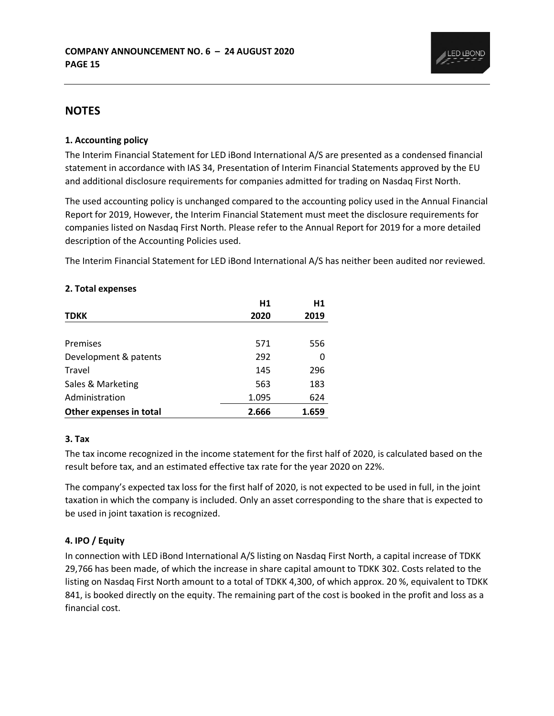## **NOTES**

#### **1. Accounting policy**

The Interim Financial Statement for LED iBond International A/S are presented as a condensed financial statement in accordance with IAS 34, Presentation of Interim Financial Statements approved by the EU and additional disclosure requirements for companies admitted for trading on Nasdaq First North.

The used accounting policy is unchanged compared to the accounting policy used in the Annual Financial Report for 2019, However, the Interim Financial Statement must meet the disclosure requirements for companies listed on Nasdaq First North. Please refer to the Annual Report for 2019 for a more detailed description of the Accounting Policies used.

The Interim Financial Statement for LED iBond International A/S has neither been audited nor reviewed.

|                         | H1    | H1    |
|-------------------------|-------|-------|
| <b>TDKK</b>             | 2020  | 2019  |
|                         |       |       |
| Premises                | 571   | 556   |
| Development & patents   | 292   | O     |
| Travel                  | 145   | 296   |
| Sales & Marketing       | 563   | 183   |
| Administration          | 1.095 | 624   |
| Other expenses in total | 2.666 | 1.659 |

#### **2. Total expenses**

#### **3. Tax**

The tax income recognized in the income statement for the first half of 2020, is calculated based on the result before tax, and an estimated effective tax rate for the year 2020 on 22%.

The company's expected tax loss for the first half of 2020, is not expected to be used in full, in the joint taxation in which the company is included. Only an asset corresponding to the share that is expected to be used in joint taxation is recognized.

#### **4. IPO / Equity**

In connection with LED iBond International A/S listing on Nasdaq First North, a capital increase of TDKK 29,766 has been made, of which the increase in share capital amount to TDKK 302. Costs related to the listing on Nasdaq First North amount to a total of TDKK 4,300, of which approx. 20 %, equivalent to TDKK 841, is booked directly on the equity. The remaining part of the cost is booked in the profit and loss as a financial cost.